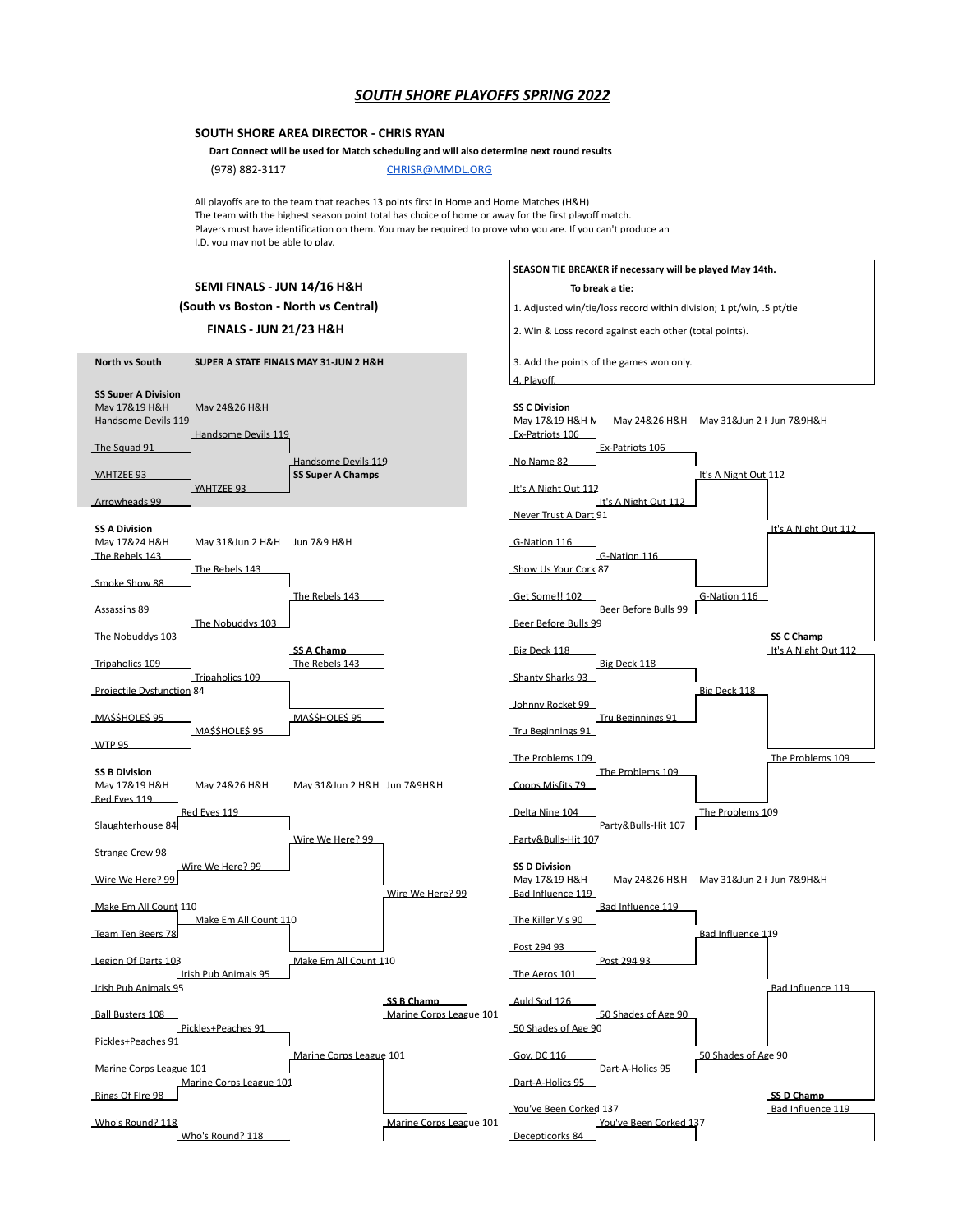## *SOUTH SHORE PLAYOFFS SPRING 2022*

## **SOUTH SHORE AREA DIRECTOR - CHRIS RYAN**

 **Dart Connect will be used for Match scheduling and will also determine next round results**

(978) 882-3117 [CHRISR@MMDL.ORG](mailto:CHRISR@MMDL.ORG)

All playoffs are to the team that reaches 13 points first in Home and Home Matches (H&H) The team with the highest season point total has choice of home or away for the first playoff match. Plavers must have identification on them. You mav be required to prove who vou are. If vou can't produce an I.D. you may not be able to play.

|                                                                    |                                      |                                                 |                                       | SEASON TIE BREAKER if necessary will be played May 14th.                                              |                           |                      |
|--------------------------------------------------------------------|--------------------------------------|-------------------------------------------------|---------------------------------------|-------------------------------------------------------------------------------------------------------|---------------------------|----------------------|
| SEMI FINALS - JUN 14/16 H&H                                        |                                      |                                                 |                                       | To break a tie:                                                                                       |                           |                      |
| (South vs Boston - North vs Central)                               |                                      |                                                 |                                       | 1. Adjusted win/tie/loss record within division; 1 pt/win, .5 pt/tie                                  |                           |                      |
| <b>FINALS - JUN 21/23 H&amp;H</b>                                  |                                      |                                                 |                                       | 2. Win & Loss record against each other (total points).                                               |                           |                      |
| North vs South<br>SUPER A STATE FINALS MAY 31-JUN 2 H&H            |                                      |                                                 |                                       | 3. Add the points of the games won only.<br>4. Playoff.                                               |                           |                      |
| <b>SS Super A Division</b><br>Mav 17&19 H&H<br>Handsome Devils 119 | Mav 24&26 H&H<br>Handsome Devils 119 |                                                 |                                       | <b>SS C Division</b><br>May 17&19 H&H N<br>Mav 24&26 H&H Mav 31&Jun 2 H Jun 7&9H&H<br>Ex-Patriots 106 |                           |                      |
| The Sauad 91                                                       |                                      |                                                 |                                       | Ex-Patriots 106                                                                                       |                           |                      |
| YAHTZEE 93                                                         | YAHTZEE 93                           | Handsome Devils 119<br><b>SS Super A Champs</b> |                                       | No Name 82<br>It's A Night Out 112                                                                    | It's A Night Out 112      |                      |
| Arrowheads 99                                                      |                                      |                                                 |                                       | It's A Night Out 112                                                                                  |                           |                      |
| <b>SS A Division</b><br>Mav 17&24 H&H<br>The Rebels 143            | Mav 31&Jun 2 H&H                     | Jun 7&9 H&H                                     |                                       | Never Trust A Dart 91<br>G-Nation 116<br>G-Nation 116                                                 |                           | It's A Night Out 112 |
| Smoke Show 88                                                      | The Rebels 143                       |                                                 |                                       | Show Us Your Cork 87                                                                                  |                           |                      |
| Assassins 89                                                       |                                      | The Rebels 143                                  |                                       | Get Some!! 102<br>Beer Before Bulls 99                                                                | G-Nation 116              |                      |
| The Nobuddys 103                                                   | The Nobuddys 103                     |                                                 |                                       | Beer Before Bulls 99                                                                                  |                           | SS C Champ           |
| Tripaholics 109                                                    |                                      | SS A Champ<br>The Rebels 143                    |                                       | Big Deck 118<br>Big Deck 118                                                                          |                           | It's A Night Out 112 |
| Projectile Dysfunction 84                                          | Tripaholics 109                      |                                                 |                                       | Shanty Sharks 93                                                                                      | Big Deck 118              |                      |
| <u>MASSHOLES 95</u>                                                |                                      | <u>MASSHOLES 95</u>                             |                                       | <u>Johnny Rocket 99</u><br>Tru Beginnings 91                                                          |                           |                      |
| <b>WTP 95</b>                                                      | <b>MASSHOLES 95</b>                  |                                                 |                                       | Tru Beginnings 91                                                                                     |                           |                      |
| <b>SS B Division</b><br>Mav 17&19 H&H<br>Red Eves 119              | Mav 24&26 H&H                        | Mav 31&Jun 2 H&H Jun 7&9H&H                     |                                       | <u>The Problems 109</u><br>The Problems 109<br>Coops Misfits 79                                       |                           | The Problems 109     |
| Slaughterhouse 84                                                  | Red Eves 119                         | Wire We Here? 99                                |                                       | Delta Nine 104<br>Partv&Bulls-Hit 107<br>Partv&Bulls-Hit 107                                          | The Problems 109          |                      |
| Strange Crew 98                                                    |                                      |                                                 |                                       |                                                                                                       |                           |                      |
| Wire We Here? 99                                                   | Wire We Here? 99                     |                                                 | Wire We Here? 99                      | <b>SS D Division</b><br>May 17&19 H&H<br>May 24&26 H&H<br>Bad Influence 119                           | May 31&Jun 2   Jun 7&9H&H |                      |
| Make Em All Count 110                                              |                                      |                                                 |                                       | Bad Influence 119                                                                                     |                           |                      |
| Team Ten Beers 78                                                  | Make Em All Count 110                |                                                 |                                       | <u>The Killer V's 90</u><br>Post 294 93                                                               | Bad Influence 119         |                      |
| Legion Of Darts 103                                                | <b>Irish Pub Animals 95</b>          | Make Em All Count 110                           |                                       | Post 294 93<br>The Aeros 101                                                                          |                           |                      |
| Irish Pub Animals 95                                               |                                      |                                                 |                                       | Auld Sod 126                                                                                          |                           | Bad Influence 119    |
| <b>Ball Busters 108</b>                                            | Pickles+Peaches 91                   |                                                 | SS B Champ<br>Marine Corps League 101 | 50 Shades of Age 90<br>50 Shades of Age 90                                                            |                           |                      |
| Pickles+Peaches 91                                                 |                                      |                                                 |                                       |                                                                                                       |                           |                      |
| Marine Corps League 101                                            | Marine Corps League 101              | Marine Corps League 101                         |                                       | Gov. DC 116<br>Dart-A-Holics 95<br>Dart-A-Holics 95                                                   | 50 Shades of Age 90       |                      |
| Rings Of Fire 98                                                   |                                      |                                                 |                                       |                                                                                                       |                           | SS D Champ           |
| Who's Round? 118                                                   | Who's Round? 118                     |                                                 | Marine Corps League 101               | You've Been Corked 137<br>You've Been Corked 137<br>Decepticorks 84                                   |                           | Bad Influence 119    |
|                                                                    |                                      |                                                 |                                       |                                                                                                       |                           |                      |